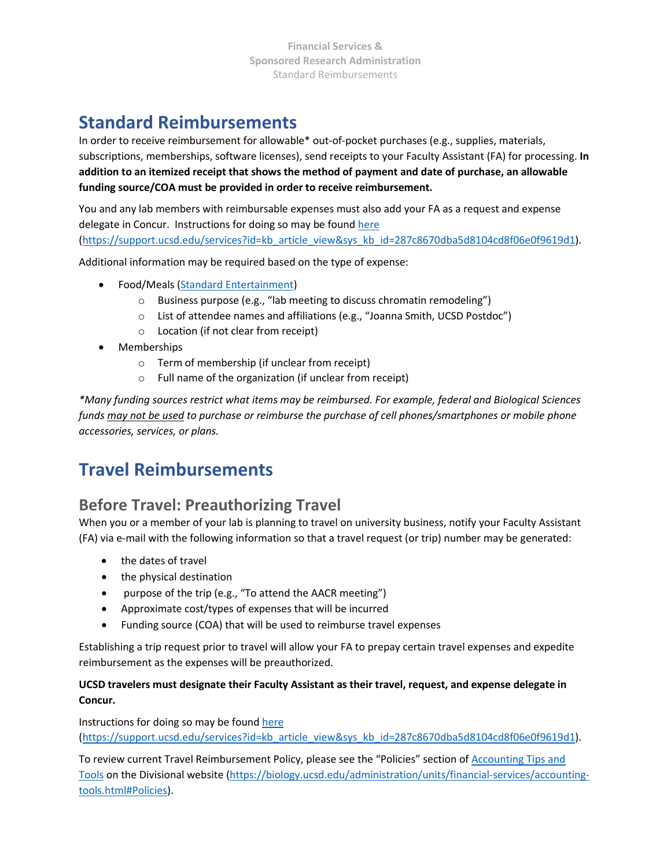# **Standard Reimbursements**

In order to receive reimbursement for allowable\* out-of-pocket purchases (e.g., supplies, materials, subscriptions, memberships, software licenses), send receipts to your Faculty Assistant (FA) for processing. **In addition to an itemized receipt that shows the method of payment and date of purchase, an allowable funding source/COA must be provided in order to receive reimbursement.**

You and any lab members with reimbursable expenses must also add your FA as a request and expense delegate in Concur. Instructions for doing so may be foun[d here](https://support.ucsd.edu/services?id=kb_article_view&sys_kb_id=287c8670dba5d8104cd8f06e0f9619d1) [\(https://support.ucsd.edu/services?id=kb\\_article\\_view&sys\\_kb\\_id=287c8670dba5d8104cd8f06e0f9619d1\)](https://support.ucsd.edu/services?id=kb_article_view&sys_kb_id=287c8670dba5d8104cd8f06e0f9619d1).

Additional information may be required based on the type of expense:

- Food/Meals [\(Standard Entertainment\)](https://blink.ucsd.edu/travel/entertainment/overview/meal-expenses.html)
	- o Business purpose (e.g., "lab meeting to discuss chromatin remodeling")
	- o List of attendee names and affiliations (e.g., "Joanna Smith, UCSD Postdoc")
	- o Location (if not clear from receipt)
- Memberships
	- o Term of membership (if unclear from receipt)
	- o Full name of the organization (if unclear from receipt)

*\*Many funding sources restrict what items may be reimbursed. For example, federal and Biological Sciences funds may not be used to purchase or reimburse the purchase of cell phones/smartphones or mobile phone accessories, services, or plans.*

# **Travel Reimbursements**

### **Before Travel: Preauthorizing Travel**

When you or a member of your lab is planning to travel on university business, notify your Faculty Assistant (FA) via e-mail with the following information so that a travel request (or trip) number may be generated:

- the dates of travel
- the physical destination
- purpose of the trip (e.g., "To attend the AACR meeting")
- Approximate cost/types of expenses that will be incurred
- Funding source (COA) that will be used to reimburse travel expenses

Establishing a trip request prior to travel will allow your FA to prepay certain travel expenses and expedite reimbursement as the expenses will be preauthorized.

#### **UCSD travelers must designate their Faculty Assistant as their travel, request, and expense delegate in Concur.**

Instructions for doing so may be foun[d here](https://support.ucsd.edu/services?id=kb_article_view&sys_kb_id=287c8670dba5d8104cd8f06e0f9619d1) [\(https://support.ucsd.edu/services?id=kb\\_article\\_view&sys\\_kb\\_id=287c8670dba5d8104cd8f06e0f9619d1\)](https://support.ucsd.edu/services?id=kb_article_view&sys_kb_id=287c8670dba5d8104cd8f06e0f9619d1).

To review current Travel Reimbursement Policy, please see the "Policies" section of [Accounting Tips and](https://biology.ucsd.edu/administration/units/financial-services/accounting-tools.html#Policies)  [Tools](https://biology.ucsd.edu/administration/units/financial-services/accounting-tools.html#Policies) on the Divisional website [\(https://biology.ucsd.edu/administration/units/financial-services/accounting](https://biology.ucsd.edu/administration/units/financial-services/accounting-tools.html#Policies)[tools.html#Policies\)](https://biology.ucsd.edu/administration/units/financial-services/accounting-tools.html#Policies).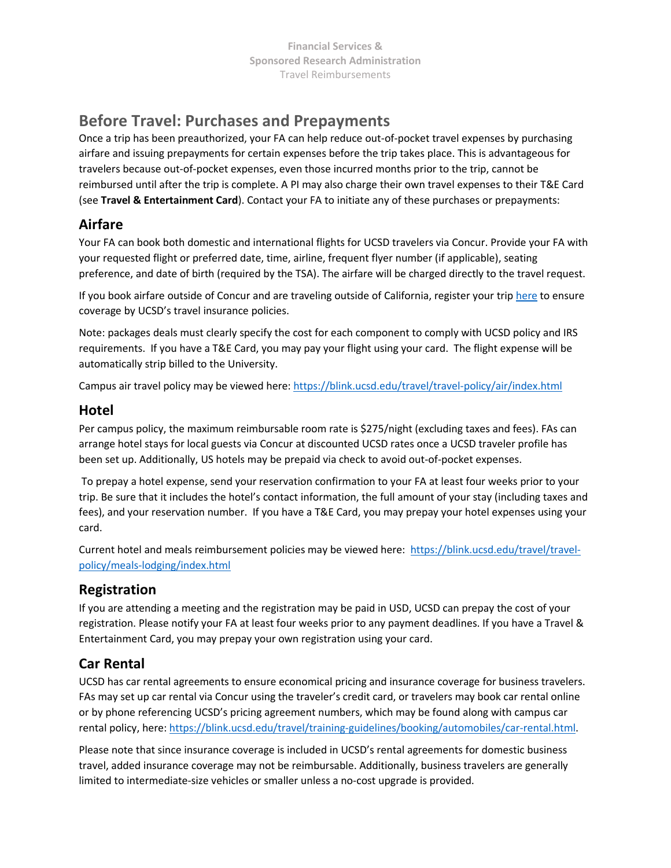## **Before Travel: Purchases and Prepayments**

Once a trip has been preauthorized, your FA can help reduce out-of-pocket travel expenses by purchasing airfare and issuing prepayments for certain expenses before the trip takes place. This is advantageous for travelers because out-of-pocket expenses, even those incurred months prior to the trip, cannot be reimbursed until after the trip is complete. A PI may also charge their own travel expenses to their T&E Card (see **Travel & Entertainment Card**). Contact your FA to initiate any of these purchases or prepayments:

### **Airfare**

Your FA can book both domestic and international flights for UCSD travelers via Concur. Provide your FA with your requested flight or preferred date, time, airline, frequent flyer number (if applicable), seating preference, and date of birth (required by the TSA). The airfare will be charged directly to the travel request.

If you book airfare outside of Concur and are traveling outside of California, register your trip [here](https://ehs.ucop.edu/away) to ensure coverage by UCSD's travel insurance policies.

Note: packages deals must clearly specify the cost for each component to comply with UCSD policy and IRS requirements. If you have a T&E Card, you may pay your flight using your card. The flight expense will be automatically strip billed to the University.

Campus air travel policy may be viewed here:<https://blink.ucsd.edu/travel/travel-policy/air/index.html>

#### **Hotel**

Per campus policy, the maximum reimbursable room rate is \$275/night (excluding taxes and fees). FAs can arrange hotel stays for local guests via Concur at discounted UCSD rates once a UCSD traveler profile has been set up. Additionally, US hotels may be prepaid via check to avoid out-of-pocket expenses.

To prepay a hotel expense, send your reservation confirmation to your FA at least four weeks prior to your trip. Be sure that it includes the hotel's contact information, the full amount of your stay (including taxes and fees), and your reservation number. If you have a T&E Card, you may prepay your hotel expenses using your card.

Current hotel and meals reimbursement policies may be viewed here: [https://blink.ucsd.edu/travel/travel](https://blink.ucsd.edu/travel/travel-policy/meals-lodging/index.html)[policy/meals-lodging/index.html](https://blink.ucsd.edu/travel/travel-policy/meals-lodging/index.html)

### **Registration**

If you are attending a meeting and the registration may be paid in USD, UCSD can prepay the cost of your registration. Please notify your FA at least four weeks prior to any payment deadlines. If you have a Travel & Entertainment Card, you may prepay your own registration using your card.

### **Car Rental**

UCSD has car rental agreements to ensure economical pricing and insurance coverage for business travelers. FAs may set up car rental via Concur using the traveler's credit card, or travelers may book car rental online or by phone referencing UCSD's pricing agreement numbers, which may be found along with campus car rental policy, here: [https://blink.ucsd.edu/travel/training-guidelines/booking/automobiles/car-rental.html.](https://blink.ucsd.edu/travel/training-guidelines/booking/automobiles/car-rental.html)

Please note that since insurance coverage is included in UCSD's rental agreements for domestic business travel, added insurance coverage may not be reimbursable. Additionally, business travelers are generally limited to intermediate-size vehicles or smaller unless a no-cost upgrade is provided.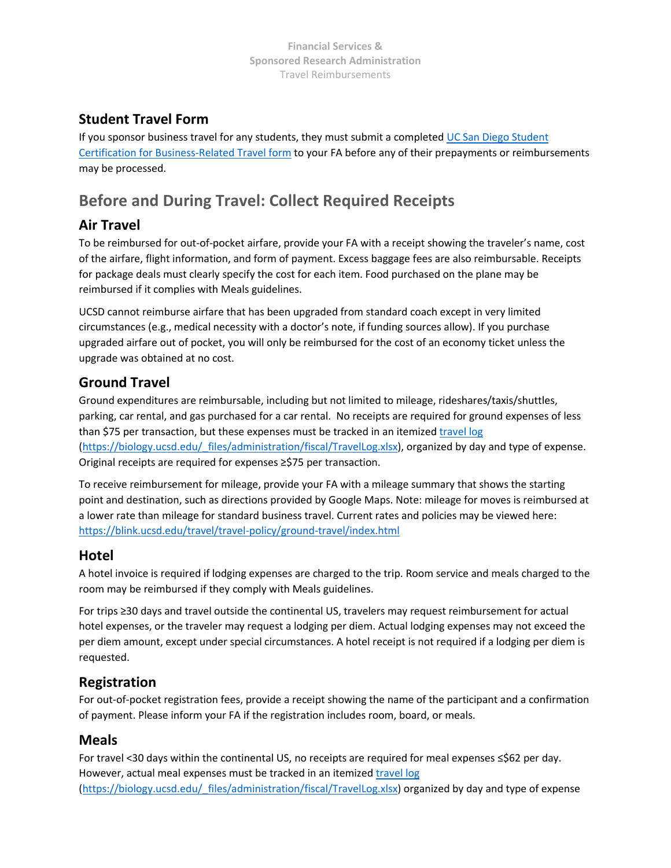### **Student Travel Form**

If you sponsor business travel for any students, they must submit a completed UC San Diego Student [Certification for Business-Related Travel form](https://blink.ucsd.edu/_files/travel-tab/Student%20Certification%20for%20Business%2005.pdf) to your FA before any of their prepayments or reimbursements may be processed.

# **Before and During Travel: Collect Required Receipts**

### **Air Travel**

To be reimbursed for out-of-pocket airfare, provide your FA with a receipt showing the traveler's name, cost of the airfare, flight information, and form of payment. Excess baggage fees are also reimbursable. Receipts for package deals must clearly specify the cost for each item. Food purchased on the plane may be reimbursed if it complies with Meals guidelines.

UCSD cannot reimburse airfare that has been upgraded from standard coach except in very limited circumstances (e.g., medical necessity with a doctor's note, if funding sources allow). If you purchase upgraded airfare out of pocket, you will only be reimbursed for the cost of an economy ticket unless the upgrade was obtained at no cost.

### **Ground Travel**

Ground expenditures are reimbursable, including but not limited to mileage, rideshares/taxis/shuttles, parking, car rental, and gas purchased for a car rental. No receipts are required for ground expenses of less than \$75 per transaction, but these expenses must be tracked in an itemized travellog (https://biology.ucsd.edu/ files/administration/fiscal/TravelLog.xlsx), organized by day and type of expense. Original receipts are required for expenses ≥\$75 per transaction.

To receive reimbursement for mileage, provide your FA with a mileage summary that shows the starting point and destination, such as directions provided by Google Maps. Note: mileage for moves is reimbursed at a lower rate than mileage for standard business travel. Current rates and policies may be viewed here: <https://blink.ucsd.edu/travel/travel-policy/ground-travel/index.html>

### **Hotel**

A hotel invoice is required if lodging expenses are charged to the trip. Room service and meals charged to the room may be reimbursed if they comply with Meals guidelines.

For trips ≥30 days and travel outside the continental US, travelers may request reimbursement for actual hotel expenses, or the traveler may request a lodging per diem. Actual lodging expenses may not exceed the per diem amount, except under special circumstances. A hotel receipt is not required if a lodging per diem is requested.

### **Registration**

For out-of-pocket registration fees, provide a receipt showing the name of the participant and a confirmation of payment. Please inform your FA if the registration includes room, board, or meals.

### **Meals**

For travel <30 days within the continental US, no receipts are required for meal expenses ≤\$62 per day. However, actual meal expenses must be tracked in an itemized [travel log](https://biology.ucsd.edu/_files/administration/fiscal/TravelLog.xlsx) [\(https://biology.ucsd.edu/\\_files/administration/fiscal/TravelLog.xlsx\)](https://biology.ucsd.edu/_files/administration/fiscal/TravelLog.xlsx) organized by day and type of expense